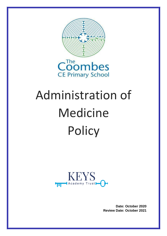

# Administration of Medicine **Policy**



**Date: October 2020 Review Date: October 2021**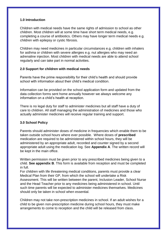# **1.0 Introduction**

Children with medical needs have the same rights of admission to school as other children. Most children will at some time have short term medical needs, e.g. completing a course of antibiotics. Others may have longer term medical needs e.g. children with epilepsy or cystic fibrosis.

Children may need medicines in particular circumstances e.g. children with inhalers for asthma or children with severe allergies e.g. nut allergies who may need an adrenaline injection. Most children with medical needs are able to attend school regularly and can take part in normal activities.

## **2.0 Support for children with medical needs**

Parents have the prime responsibility for their child's health and should provide school with information about their child's medical condition.

Information can be provided on the school application form and updated from the data collection forms sent home annually however we always welcome any information on a child's health at reception.

There is no legal duty for staff to administer medicines but all staff have a duty of care to children. All staff managing the administration of medicines and those who actually administer medicines will receive regular training and support.

## **3.0 School Policy**

Parents should administer doses of medicine in frequencies which enable them to be taken outside school hours where ever possible. Where doses of **prescribed**  medication are required to be administered within school hours, they will be administered by an appropriate adult, recorded and counter signed by a second appropriate adult using the medication log. See **Appendix A**. The written record will be kept in the main office.

Written permission must be given prior to any prescribed medicines being given to a child. **See appendix B**. This form is available from reception and must be completed in full.

For children with life threatening medical conditions, parents must provide a clear Medical Plan from their GP, from which the school will undertake a Risk Assessment. This will be written between the parent, Inclusion Leader, School Nurse and the Head Teacher prior to any medicines being administered in school. Until such time parents will be expected to administer medicines themselves. Medicines should only be taken in school when essential.

Children may not take non-prescription medicines in school. If an adult wishes for a child to be given non-prescription medicine during school hours, they must make arrangements to come to reception and the child will be released from class.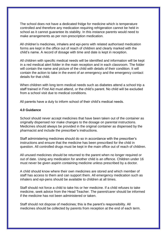The school does not have a dedicated fridge for medicine which is temperature controlled and therefore any medication requiring refrigeration cannot be held in school as it cannot guarantee its stability. In this instance parents would need to make arrangements as per non-prescription medication.

All children's medicines, inhalers and epi-pens with related authorised medication forms are kept in the office out of reach of children and clearly marked with the child's name. A record of dosage with time and date is kept in reception.

All children with specific medical needs will be identified and information will be kept in a red medical alert folder in the main reception and in each classroom. The folder will contain the name and picture of the child with details of their condition. It will contain the action to take in the event of an emergency and the emergency contact details for that child.

When children with long term medical needs such as diabetes attend a school trip a staff trained in First Aid must attend, or the child's parent. No child will be excluded from a school visit due to medical conditions.

All parents have a duty to inform school of their child's medical needs.

#### **4.0 Guidance**

School should never accept medicines that have been taken out of the container as originally dispensed nor make changes to the dosage on parental instructions. Medicines should always be provided in the original container as dispensed by the pharmacist and include the prescriber's instructions.

Staff administering medicines should do so in accordance with the prescriber's instructions and ensure that the medicine has been prescribed for the child in question. All controlled drugs must be kept in the main office out of reach of children.

All unused medicines should be returned to the parent when no longer required or out of date. Using any medication for another child is an offence. Children under 16 must never be given aspirin containing medicine unless prescribed by a doctor.

A child should know where their own medicines are stored and which member of staff has access to them and can support them. All emergency medication such as inhalers and epi-pens should be available to children at all times.

Staff should not force a child to take his or her medicine. If a child refuses to take medicine, seek advice from the Head Teacher. The parent/carer should be informed if the medicine has not been administered or taken.

Staff should not dispose of medicines; this is the parent's responsibility. All medicines should be collected by parents from reception at the end of each term.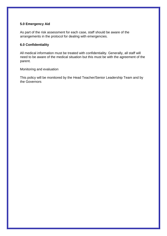# **5.0 Emergency Aid**

As part of the risk assessment for each case, staff should be aware of the arrangements in the protocol for dealing with emergencies.

#### **6.0 Confidentiality**

All medical information must be treated with confidentiality. Generally, all staff will need to be aware of the medical situation but this must be with the agreement of the parent.

Monitoring and evaluation

This policy will be monitored by the Head Teacher/Senior Leadership Team and by the Governors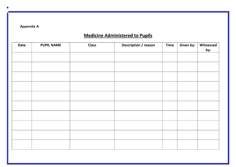**Appendix A** 

# **Medicine Administered to Pupils**

| <b>Date</b> | <b>PUPIL NAME</b> | <b>Class</b> | <b>Description / reason</b> | <b>Time</b> | Given by: | Witnessed |
|-------------|-------------------|--------------|-----------------------------|-------------|-----------|-----------|
|             |                   |              |                             |             |           | by:       |
|             |                   |              |                             |             |           |           |
|             |                   |              |                             |             |           |           |
|             |                   |              |                             |             |           |           |
|             |                   |              |                             |             |           |           |
|             |                   |              |                             |             |           |           |
|             |                   |              |                             |             |           |           |
|             |                   |              |                             |             |           |           |
|             |                   |              |                             |             |           |           |
|             |                   |              |                             |             |           |           |
|             |                   |              |                             |             |           |           |